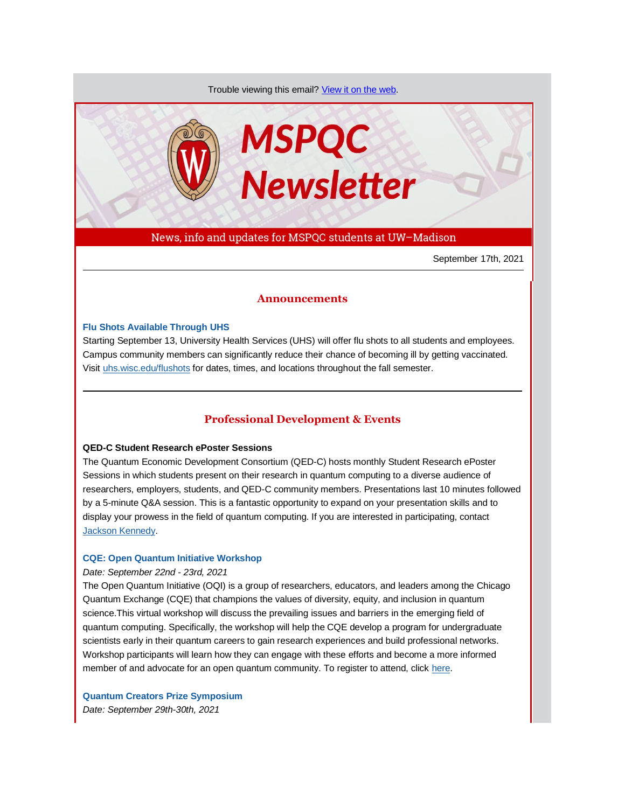Trouble viewing this email? [View it on the web.](https://app.explore.wisc.edu/e/es?s=1427524768&e=706872&elqTrackId=51e861781d16471282f1c296cabd15a9&elq=34b2d511beb84c7b97cebb5fccc68c39&elqaid=20038&elqat=1)



News, info and updates for MSPQC students at UW–Madison

September 17th, 2021

# **Announcements**

#### **[Flu Shots Available Through UHS](https://app.explore.wisc.edu/e/er?s=1427524768&lid=4481&elqTrackId=35EFFC4B4ACB215EB806C9066FBAA83A&elq=34b2d511beb84c7b97cebb5fccc68c39&elqaid=20038&elqat=1)**

Starting September 13, University Health Services (UHS) will offer flu shots to all students and employees. Campus community members can significantly reduce their chance of becoming ill by getting vaccinated. Visi[t uhs.wisc.edu/flushots](https://app.explore.wisc.edu/e/er?s=1427524768&lid=639&elqTrackId=0BAFB0B00E5936DF625CA27C5BBB7591&elq=34b2d511beb84c7b97cebb5fccc68c39&elqaid=20038&elqat=1) for dates, times, and locations throughout the fall semester.

## **Professional Development & Events**

# **QED-C Student Research ePoster Sessions**

The Quantum Economic Development Consortium (QED-C) hosts monthly Student Research ePoster Sessions in which students present on their research in quantum computing to a diverse audience of researchers, employers, students, and QED-C community members. Presentations last 10 minutes followed by a 5-minute Q&A session. This is a fantastic opportunity to expand on your presentation skills and to display your prowess in the field of quantum computing. If you are interested in participating, contact [Jackson Kennedy.](mailto:jckennedy3@wisc.edu)

#### **[CQE: Open Quantum Initiative Workshop](https://app.explore.wisc.edu/e/er?s=1427524768&lid=20823&elqTrackId=6E6C3C65142CCBDE5F5C9EF6EBEF50AB&elq=34b2d511beb84c7b97cebb5fccc68c39&elqaid=20038&elqat=1)**

#### *Date: September 22nd - 23rd, 2021*

The Open Quantum Initiative (OQI) is a group of researchers, educators, and leaders among the Chicago Quantum Exchange (CQE) that champions the values of diversity, equity, and inclusion in quantum science.This virtual workshop will discuss the prevailing issues and barriers in the emerging field of quantum computing. Specifically, the workshop will help the CQE develop a program for undergraduate scientists early in their quantum careers to gain research experiences and build professional networks. Workshop participants will learn how they can engage with these efforts and become a more informed member of and advocate for an open quantum community. To register to attend, clic[k here.](https://app.explore.wisc.edu/e/er?s=1427524768&lid=20822&elqTrackId=256EB547C8AC7F08811F14152918BA1A&elq=34b2d511beb84c7b97cebb5fccc68c39&elqaid=20038&elqat=1)

**[Quantum Creators Prize Symposium](https://app.explore.wisc.edu/e/er?s=1427524768&lid=19293&elqTrackId=4037DD5F2D35C1A7A436AD943C37A6E9&elq=34b2d511beb84c7b97cebb5fccc68c39&elqaid=20038&elqat=1)** *Date: September 29th-30th, 2021*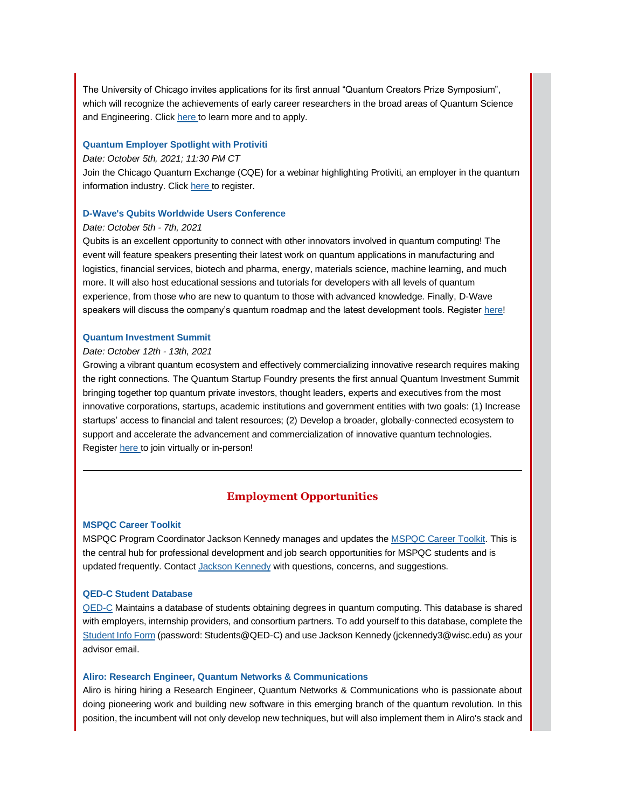The University of Chicago invites applications for its first annual "Quantum Creators Prize Symposium", which will recognize the achievements of early career researchers in the broad areas of Quantum Science and Engineering. Clic[k here t](https://app.explore.wisc.edu/e/er?s=1427524768&lid=19293&elqTrackId=C09A1C0D7176630AF9945939BB1E22E0&elq=34b2d511beb84c7b97cebb5fccc68c39&elqaid=20038&elqat=1)o learn more and to apply.

#### **[Quantum Employer Spotlight with Protiviti](https://app.explore.wisc.edu/e/er?s=1427524768&lid=22425&elqTrackId=BCB55A5E84BD2D26749F8F99B5B01D31&elq=34b2d511beb84c7b97cebb5fccc68c39&elqaid=20038&elqat=1)**

#### *Date: October 5th, 2021; 11:30 PM CT*

Join the Chicago Quantum Exchange (CQE) for a webinar highlighting Protiviti, an employer in the quantum information industry. Clic[k here t](https://app.explore.wisc.edu/e/er?s=1427524768&lid=22424&elqTrackId=700B5825F0D5824D3157B896211B8F27&elq=34b2d511beb84c7b97cebb5fccc68c39&elqaid=20038&elqat=1)o register.

## **[D-Wave's Qubits Worldwide Users Conference](https://app.explore.wisc.edu/e/er?s=1427524768&lid=22428&elqTrackId=F2DB0CCF0E893F9F8B5114E19C172A30&elq=34b2d511beb84c7b97cebb5fccc68c39&elqaid=20038&elqat=1)**

#### *Date: October 5th - 7th, 2021*

Qubits is an excellent opportunity to connect with other innovators involved in quantum computing! The event will feature speakers presenting their latest work on quantum applications in manufacturing and logistics, financial services, biotech and pharma, energy, materials science, machine learning, and much more. It will also host educational sessions and tutorials for developers with all levels of quantum experience, from those who are new to quantum to those with advanced knowledge. Finally, D-Wave speakers will discuss the company's quantum roadmap and the latest development tools. Register [here!](https://app.explore.wisc.edu/e/er?s=1427524768&lid=22428&elqTrackId=0BECD2683D47EE01F1B031680C516405&elq=34b2d511beb84c7b97cebb5fccc68c39&elqaid=20038&elqat=1)

#### **[Quantum Investment Summit](https://app.explore.wisc.edu/e/er?s=1427524768&lid=22427&elqTrackId=669B4E5089FF171F3C7DBBE8850DFBC2&elq=34b2d511beb84c7b97cebb5fccc68c39&elqaid=20038&elqat=1)**

## *Date: October 12th - 13th, 2021*

Growing a vibrant quantum ecosystem and effectively commercializing innovative research requires making the right connections. The Quantum Startup Foundry presents the first annual Quantum Investment Summit bringing together top quantum private investors, thought leaders, experts and executives from the most innovative corporations, startups, academic institutions and government entities with two goals: (1) Increase startups' access to financial and talent resources; (2) Develop a broader, globally-connected ecosystem to support and accelerate the advancement and commercialization of innovative quantum technologies. Register [here t](https://app.explore.wisc.edu/e/er?s=1427524768&lid=22426&elqTrackId=8C809748C79F4B9CE046CB120D93F4F9&elq=34b2d511beb84c7b97cebb5fccc68c39&elqaid=20038&elqat=1)o join virtually or in-person!

# **Employment Opportunities**

#### **[MSPQC Career Toolkit](https://app.explore.wisc.edu/e/er?s=1427524768&lid=16119&elqTrackId=5A49858D7B279578BB1B0FB51CEEA074&elq=34b2d511beb84c7b97cebb5fccc68c39&elqaid=20038&elqat=1)**

MSPQC Program Coordinator Jackson Kennedy manages and updates the **MSPQC Career Toolkit.** This is the central hub for professional development and job search opportunities for MSPQC students and is updated frequently. Contact [Jackson Kennedy](mailto:jckennedy3@wisc.edu) with questions, concerns, and suggestions.

## **[QED-C Student Database](https://app.explore.wisc.edu/e/er?s=1427524768&lid=16143&elqTrackId=3F91B3E99BC944A98E92AF38D30E52E3&elq=34b2d511beb84c7b97cebb5fccc68c39&elqaid=20038&elqat=1)**

[QED-C](https://app.explore.wisc.edu/e/er?s=1427524768&lid=16144&elqTrackId=A9AB285BA5BE3DC678F7230E21B22D08&elq=34b2d511beb84c7b97cebb5fccc68c39&elqaid=20038&elqat=1) Maintains a database of students obtaining degrees in quantum computing. This database is shared with employers, internship providers, and consortium partners. To add yourself to this database, complete the [Student Info Form](https://app.explore.wisc.edu/e/er?s=1427524768&lid=16143&elqTrackId=4394A173A56EFED3F138143AA6462B62&elq=34b2d511beb84c7b97cebb5fccc68c39&elqaid=20038&elqat=1) (password: Students@QED-C) and use Jackson Kennedy (jckennedy3@wisc.edu) as your advisor email.

#### **[Aliro: Research Engineer, Quantum Networks & Communications](https://app.explore.wisc.edu/e/er?s=1427524768&lid=22430&elqTrackId=0A52A3B2BC922F4C31492A41FF39D9EC&elq=34b2d511beb84c7b97cebb5fccc68c39&elqaid=20038&elqat=1)**

Aliro is hiring hiring a Research Engineer, Quantum Networks & Communications who is passionate about doing pioneering work and building new software in this emerging branch of the quantum revolution. In this position, the incumbent will not only develop new techniques, but will also implement them in Aliro's stack and